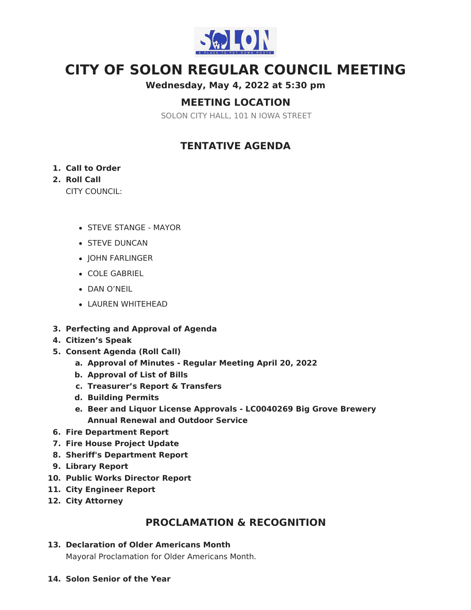

# **CITY OF SOLON REGULAR COUNCIL MEETING**

### **Wednesday, May 4, 2022 at 5:30 pm**

# **MEETING LOCATION**

SOLON CITY HALL, 101 N IOWA STREET

# **TENTATIVE AGENDA**

#### **1. Call to Order**

### **2. Roll Call**

CITY COUNCIL:

- STEVE STANGE MAYOR
- **STEVE DUNCAN**
- JOHN FARLINGER
- COLE GABRIEL
- DAN O'NEIL
- LAUREN WHITEHEAD
- **3. Perfecting and Approval of Agenda**
- **4. Citizen's Speak**
- **5. Consent Agenda (Roll Call)**
	- **a. Approval of Minutes - Regular Meeting April 20, 2022**
	- **b. Approval of List of Bills**
	- **c. Treasurer's Report & Transfers**
	- **d. Building Permits**
	- **e. Beer and Liquor License Approvals - LC0040269 Big Grove Brewery Annual Renewal and Outdoor Service**
- **6. Fire Department Report**
- **7. Fire House Project Update**
- **8. Sheriff's Department Report**
- **9. Library Report**
- **10. Public Works Director Report**
- **11. City Engineer Report**
- **12. City Attorney**

# **PROCLAMATION & RECOGNITION**

#### **13. Declaration of Older Americans Month**

Mayoral Proclamation for Older Americans Month.

**14. Solon Senior of the Year**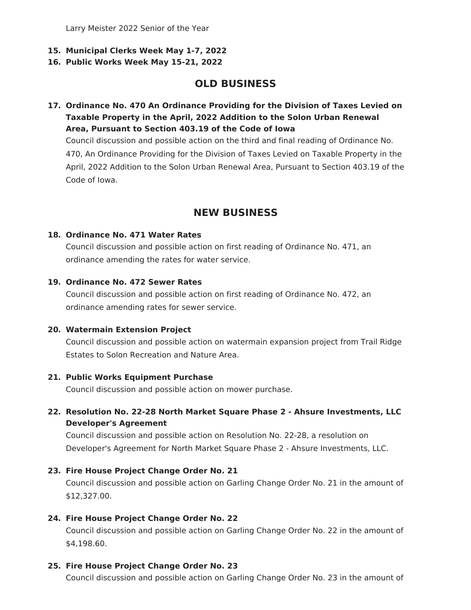Larry Meister 2022 Senior of the Year

- **15. Municipal Clerks Week May 1-7, 2022**
- **16. Public Works Week May 15-21, 2022**

# **OLD BUSINESS**

**17. Ordinance No. 470 An Ordinance Providing for the Division of Taxes Levied on Taxable Property in the April, 2022 Addition to the Solon Urban Renewal Area, Pursuant to Section 403.19 of the Code of Iowa**

Council discussion and possible action on the third and final reading of Ordinance No. 470, An Ordinance Providing for the Division of Taxes Levied on Taxable Property in the April, 2022 Addition to the Solon Urban Renewal Area, Pursuant to Section 403.19 of the Code of Iowa.

## **NEW BUSINESS**

#### **18. Ordinance No. 471 Water Rates**

Council discussion and possible action on first reading of Ordinance No. 471, an ordinance amending the rates for water service.

#### **19. Ordinance No. 472 Sewer Rates**

Council discussion and possible action on first reading of Ordinance No. 472, an ordinance amending rates for sewer service.

#### **20. Watermain Extension Project**

Council discussion and possible action on watermain expansion project from Trail Ridge Estates to Solon Recreation and Nature Area.

#### **21. Public Works Equipment Purchase**

Council discussion and possible action on mower purchase.

#### **22. Resolution No. 22-28 North Market Square Phase 2 - Ahsure Investments, LLC Developer's Agreement**

Council discussion and possible action on Resolution No. 22-28, a resolution on Developer's Agreement for North Market Square Phase 2 - Ahsure Investments, LLC.

#### **23. Fire House Project Change Order No. 21**

Council discussion and possible action on Garling Change Order No. 21 in the amount of \$12,327.00.

#### **24. Fire House Project Change Order No. 22**

Council discussion and possible action on Garling Change Order No. 22 in the amount of \$4,198.60.

#### **25. Fire House Project Change Order No. 23**

Council discussion and possible action on Garling Change Order No. 23 in the amount of